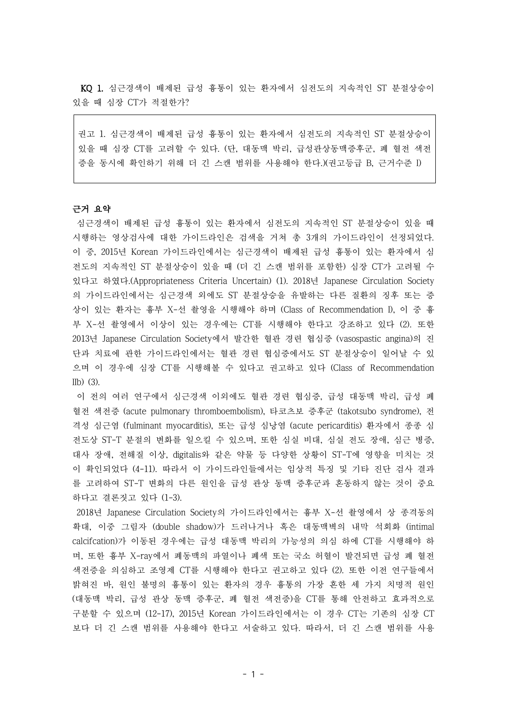KQ 1. 심근경색이 배제된 급성 흉통이 있는 환자에서 심전도의 지속적인 ST 분절상승이 있을 때 심장 CT가 적절한가?

권고 1. 심근경색이 배제된 급성 흉통이 있는 환자에서 심전도의 지속적인 ST 분절상승이 있을 때 심장 CT를 고려할 수 있다. (단, 대동맥 박리, 급성관상동맥증후군, 폐 혈전 색전 증을 동시에 확인하기 위해 더 긴 스캔 범위를 사용해야 한다.)(권고등급 B, 근거수준 I)

# 근거 요약

심근경색이 배제된 급성 흉통이 있는 환자에서 심전도의 지속적인 ST 분절상승이 있을 때 시행하는 영상검사에 대한 가이드라인은 검색을 거쳐 총 3개의 가이드라인이 선정되었다. 이 중, 2015년 Korean 가이드라인에서는 심근경색이 배제된 급성 흉통이 있는 환자에서 심 전도의 지속적인 ST 분절상승이 있을 때 (더 긴 스캔 범위를 포함한) 심장 CT가 고려될 수 있다고 하였다.(Appropriateness Criteria Uncertain) (1). 2018년 Japanese Circulation Society 의 가이드라인에서는 심근경색 외에도 ST 분절상승을 유발하는 다른 질환의 징후 또는 증 상이 있는 환자는 흉부 X-선 촬영을 시행해야 하며 (Class of Recommendation I), 이 중 흉 부 X-선 촬영에서 이상이 있는 경우에는 CT를 시행해야 한다고 강조하고 있다 (2). 또한 2013년 Japanese Circulation Society에서 발간한 혈관 경련 협심증 (vasospastic angina)의 진 단과 치료에 관한 가이드라인에서는 혈관 경련 협심증에서도 ST 분절상승이 일어날 수 있 으며 이 경우에 심장 CT를 시행해볼 수 있다고 권고하고 있다 (Class of Recommendation  $IIb)$  (3).

이 전의 여러 연구에서 심근경색 이외에도 혈관 경련 협심증, 급성 대동맥 박리, 급성 폐 혈전 색전증 (acute pulmonary thromboembolism), 타코츠보 증후군 (takotsubo syndrome), 전 격성 심근염 (fulminant myocarditis), 또는 급성 심낭염 (acute pericarditis) 환자에서 종종 심 전도상 ST-T 분절의 변화를 일으킬 수 있으며, 또한 심실 비대, 심실 전도 장애, 심근 병증, 대사 장애, 전해질 이상, digitalis와 같은 약물 등 다양한 상황이 ST-T에 영향을 미치는 것 이 확인되었다 (4-11). 따라서 이 가이드라인들에서는 임상적 특징 및 기타 진단 검사 결과 를 고려하여 ST-T 변화의 다른 원인을 급성 관상 동맥 증후군과 혼동하지 않는 것이 중요 하다고 결론짓고 있다 (1-3).

2018년 Japanese Circulation Society의 가이드라인에서는 흉부 X-선 촬영에서 상 종격동의 확대, 이중 그림자 (double shadow)가 드러나거나 혹은 대동맥벽의 내막 석회화 (intimal calcifcation)가 이동된 경우에는 급성 대동맥 박리의 가능성의 의심 하에 CT를 시행해야 하 며, 또한 흉부 X-ray에서 폐동맥의 파열이나 폐색 또는 국소 허혈이 발견되면 급성 폐 혈전 색전증을 의심하고 조영제 CT를 시행해야 한다고 권고하고 있다 (2). 또한 이전 연구들에서 밝혀진 바, 원인 불명의 흉통이 있는 환자의 경우 흉통의 가장 흔한 세 가지 치명적 원인 (대동맥 박리, 급성 관상 동맥 증후군, 폐 혈전 색전증)을 CT를 통해 안전하고 효과적으로 구분할 수 있으며 (12-17), 2015년 Korean 가이드라인에서는 이 경우 CT는 기존의 심장 CT 보다 더 긴 스캔 범위를 사용해야 한다고 서술하고 있다. 따라서, 더 긴 스캔 범위를 사용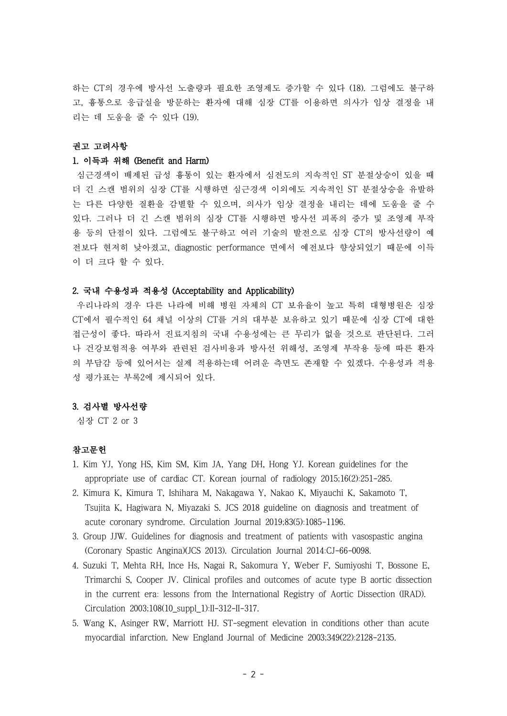하는 CT의 경우에 방사선 노출량과 필요한 조영제도 증가할 수 있다 (18). 그럼에도 불구하 고, 흉통으로 응급실을 방문하는 환자에 대해 심장 CT를 이용하면 의사가 임상 결정을 내 리는 데 도움을 줄 수 있다 (19).

### 권고 고려사항

#### 1. 이득과 위해 (Benefit and Harm)

심근경색이 배제된 급성 흉통이 있는 환자에서 심전도의 지속적인 ST 분절상승이 있을 때 더 긴 스캔 범위의 심장 CT를 시행하면 심근경색 이외에도 지속적인 ST 분절상승을 유발하 는 다른 다양한 질환을 감별할 수 있으며, 의사가 임상 결정을 내리는 데에 도움을 줄 수 있다. 그러나 더 긴 스캔 범위의 심장 CT를 시행하면 방사선 피폭의 증가 및 조영제 부작 용 등의 단점이 있다. 그럼에도 불구하고 여러 기술의 발전으로 심장 CT의 방사선량이 예 전보다 현저히 낮아졌고, diagnostic performance 면에서 예전보다 향상되었기 때문에 이득 이 더 크다 할 수 있다.

#### 2. 국내 수용성과 적용성 (Acceptability and Applicability)

우리나라의 경우 다른 나라에 비해 병원 자체의 CT 보유율이 높고 특히 대형병원은 심장 CT에서 필수적인 64 채널 이상의 CT를 거의 대부분 보유하고 있기 때문에 심장 CT에 대한 접근성이 좋다. 따라서 진료지침의 국내 수용성에는 큰 무리가 없을 것으로 판단된다. 그러 나 건강보험적용 여부와 관련된 검사비용과 방사선 위해성, 조영제 부작용 등에 따른 환자 의 부담감 등에 있어서는 실제 적용하는데 어려운 측면도 존재할 수 있겠다. 수용성과 적용 성 평가표는 부록2에 제시되어 있다.

# 3. 검사별 방사선량

심장 CT 2 or 3

## 참고문헌

- 1. Kim YJ, Yong HS, Kim SM, Kim JA, Yang DH, Hong YJ. Korean guidelines for the appropriate use of cardiac CT. Korean journal of radiology 2015;16(2):251-285.
- 2. Kimura K, Kimura T, Ishihara M, Nakagawa Y, Nakao K, Miyauchi K, Sakamoto T, Tsujita K, Hagiwara N, Miyazaki S. JCS 2018 guideline on diagnosis and treatment of acute coronary syndrome. Circulation Journal 2019;83(5):1085-1196.
- 3. Group JJW. Guidelines for diagnosis and treatment of patients with vasospastic angina (Coronary Spastic Angina)(JCS 2013). Circulation Journal 2014:CJ-66-0098.
- 4. Suzuki T, Mehta RH, Ince Hs, Nagai R, Sakomura Y, Weber F, Sumiyoshi T, Bossone E, Trimarchi S, Cooper JV. Clinical profiles and outcomes of acute type B aortic dissection in the current era: lessons from the International Registry of Aortic Dissection (IRAD). Circulation 2003;108(10\_suppl\_1):II-312-II-317.
- 5. Wang K, Asinger RW, Marriott HJ. ST-segment elevation in conditions other than acute myocardial infarction. New England Journal of Medicine 2003;349(22):2128-2135.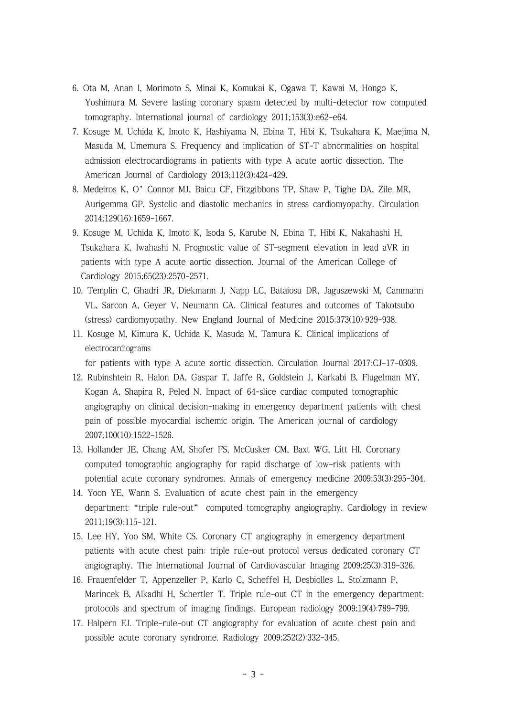- 6. Ota M, Anan I, Morimoto S, Minai K, Komukai K, Ogawa T, Kawai M, Hongo K, Yoshimura M. Severe lasting coronary spasm detected by multi-detector row computed tomography. International journal of cardiology 2011;153(3):e62-e64.
- 7. Kosuge M, Uchida K, Imoto K, Hashiyama N, Ebina T, Hibi K, Tsukahara K, Maejima N, Masuda M, Umemura S. Frequency and implication of ST-T abnormalities on hospital admission electrocardiograms in patients with type A acute aortic dissection. The American Journal of Cardiology 2013;112(3):424-429.
- 8. Medeiros K, O'Connor MJ, Baicu CF, Fitzgibbons TP, Shaw P, Tighe DA, Zile MR, Aurigemma GP. Systolic and diastolic mechanics in stress cardiomyopathy. Circulation 2014;129(16):1659-1667.
- 9. Kosuge M, Uchida K, Imoto K, Isoda S, Karube N, Ebina T, Hibi K, Nakahashi H, Tsukahara K, Iwahashi N. Prognostic value of ST-segment elevation in lead aVR in patients with type A acute aortic dissection. Journal of the American College of Cardiology 2015;65(23):2570-2571.
- 10. Templin C, Ghadri JR, Diekmann J, Napp LC, Bataiosu DR, Jaguszewski M, Cammann VL, Sarcon A, Geyer V, Neumann CA. Clinical features and outcomes of Takotsubo (stress) cardiomyopathy. New England Journal of Medicine 2015;373(10):929-938.
- 11. Kosuge M, Kimura K, Uchida K, Masuda M, Tamura K. Clinical implications of electrocardiograms

for patients with type A acute aortic dissection. Circulation Journal 2017:CJ-17-0309.

- 12. Rubinshtein R, Halon DA, Gaspar T, Jaffe R, Goldstein J, Karkabi B, Flugelman MY, Kogan A, Shapira R, Peled N. Impact of 64-slice cardiac computed tomographic angiography on clinical decision-making in emergency department patients with chest pain of possible myocardial ischemic origin. The American journal of cardiology 2007;100(10):1522-1526.
- 13. Hollander JE, Chang AM, Shofer FS, McCusker CM, Baxt WG, Litt HI. Coronary computed tomographic angiography for rapid discharge of low-risk patients with potential acute coronary syndromes. Annals of emergency medicine 2009;53(3):295-304.
- 14. Yoon YE, Wann S. Evaluation of acute chest pain in the emergency department:"triple rule-out" computed tomography angiography. Cardiology in review 2011;19(3):115-121.
- 15. Lee HY, Yoo SM, White CS. Coronary CT angiography in emergency department patients with acute chest pain: triple rule-out protocol versus dedicated coronary CT angiography. The International Journal of Cardiovascular Imaging 2009;25(3):319-326.
- 16. Frauenfelder T, Appenzeller P, Karlo C, Scheffel H, Desbiolles L, Stolzmann P, Marincek B, Alkadhi H, Schertler T. Triple rule-out CT in the emergency department: protocols and spectrum of imaging findings. European radiology 2009;19(4):789-799.
- 17. Halpern EJ. Triple-rule-out CT angiography for evaluation of acute chest pain and possible acute coronary syndrome. Radiology 2009;252(2):332-345.